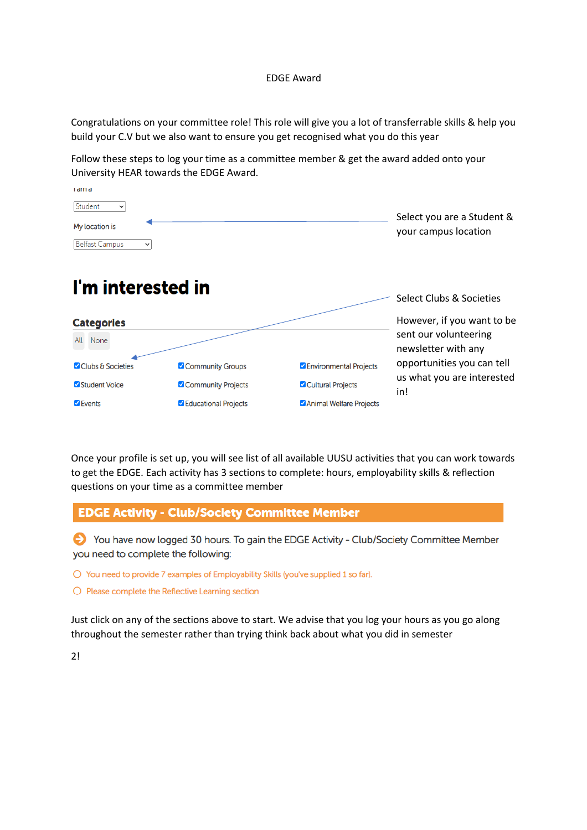#### EDGE Award

Congratulations on your committee role! This role will give you a lot of transferrable skills & help you build your C.V but we also want to ensure you get recognised what you do this year

Follow these steps to log your time as a committee member & get the award added onto your University HEAR towards the EDGE Award.

| i dili d                       |                                                    |
|--------------------------------|----------------------------------------------------|
| Student<br>$\checkmark$        |                                                    |
| My location is                 | Select you are a Student &<br>your campus location |
| Belfast Campus<br>$\checkmark$ |                                                    |

| I'm interested in      |                      |                                 | Select Clubs & Societies                     |
|------------------------|----------------------|---------------------------------|----------------------------------------------|
| <b>Categories</b>      |                      |                                 | However, if you want to be                   |
| None<br>All            |                      |                                 | sent our volunteering<br>newsletter with any |
| Clubs & Societies      | Community Groups     | <b>Z</b> Environmental Projects | opportunities you can tell                   |
| Student Voice          | Community Projects   | Cultural Projects               | us what you are interested<br>in!            |
| $\triangledown$ Events | Educational Projects | Animal Welfare Projects         |                                              |

Once your profile is set up, you will see list of all available UUSU activities that you can work towards to get the EDGE. Each activity has 3 sections to complete: hours, employability skills & reflection questions on your time as a committee member

#### **EDGE Activity - Club/Society Committee Member**

Sou have now logged 30 hours. To gain the EDGE Activity - Club/Society Committee Member you need to complete the following:

O You need to provide 7 examples of Employability Skills (you've supplied 1 so far).

O Please complete the Reflective Learning section

Just click on any of the sections above to start. We advise that you log your hours as you go along throughout the semester rather than trying think back about what you did in semester

2!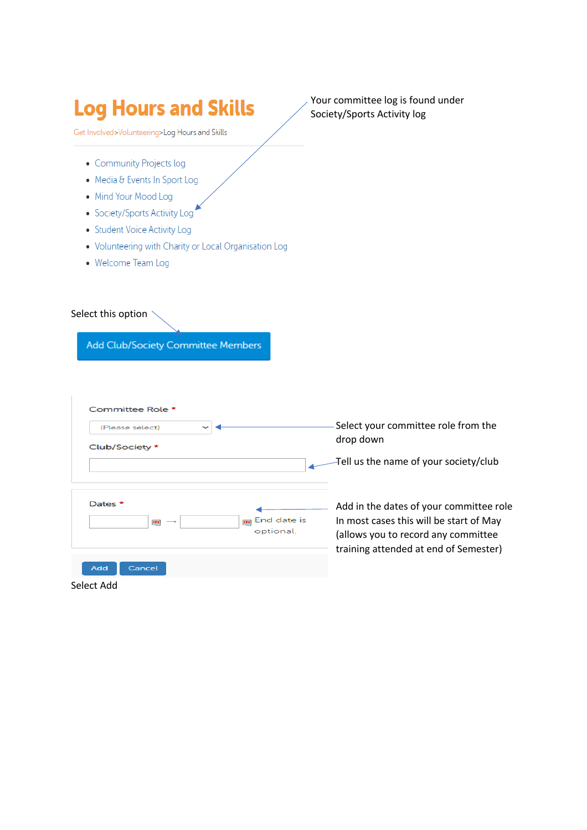# **Log Hours and Skills**

Get Involved>Volunteering>Log Hours and Skills

- Community Projects log
- Media & Events In Sport Log
- Mind Your Mood Log
- · Society/Sports Activity Log
- Student Voice Activity Log
- . Volunteering with Charity or Local Organisation Log
- Welcome Team Log

#### Select this option

 $\begin{array}{c} \hline \end{array}$ 

Add Club/Society Committee Members

| Committee Role *                                                |                                                                                                                                                                    |
|-----------------------------------------------------------------|--------------------------------------------------------------------------------------------------------------------------------------------------------------------|
| (Please select)                                                 | Select your committee role from the                                                                                                                                |
| Club/Society *                                                  | drop down                                                                                                                                                          |
|                                                                 | Tell us the name of your society/club                                                                                                                              |
| Dates *<br>End date is<br>m<br>83<br>$\rightarrow$<br>optional. | Add in the dates of your committee role<br>In most cases this will be start of May<br>(allows you to record any committee<br>training attended at end of Semester) |
| Add<br>Cancel                                                   |                                                                                                                                                                    |
| Select Add                                                      |                                                                                                                                                                    |

Your committee log is found under Society/Sports Activity log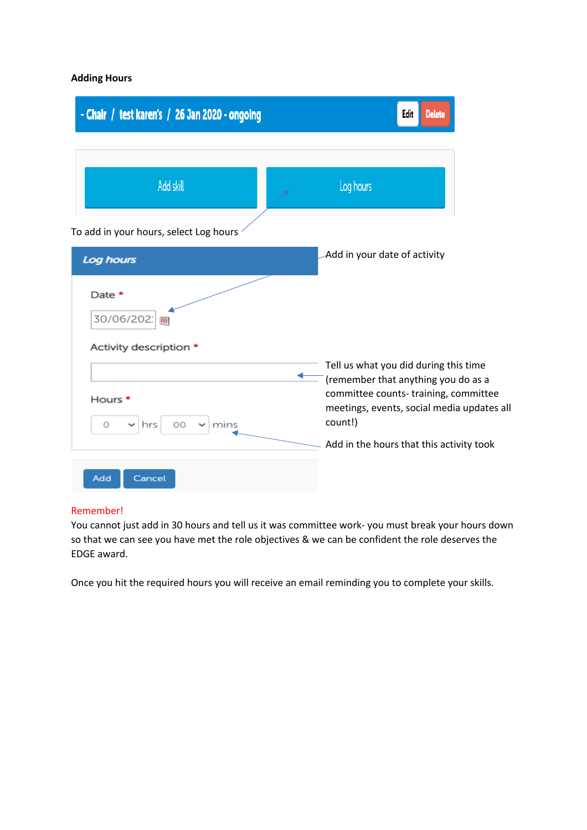#### **Adding Hours**

| - Chair / test karen's / 26 Jan 2020 - ongoing      | Edit<br><u>Delete</u>                                                                                                                                                         |
|-----------------------------------------------------|-------------------------------------------------------------------------------------------------------------------------------------------------------------------------------|
| Add skill                                           | Log hours                                                                                                                                                                     |
| To add in your hours, select Log hours<br>Log hours | Add in your date of activity                                                                                                                                                  |
| Date *<br>30/06/202<br>Activity description *       |                                                                                                                                                                               |
| Hours *<br>00<br>0<br> hrs <br>$\vee$ mins          | Tell us what you did during this time<br>(remember that anything you do as a<br>committee counts-training, committee<br>meetings, events, social media updates all<br>count!) |
| Add<br>Cancel                                       | Add in the hours that this activity took                                                                                                                                      |

#### Remember!

You cannot just add in 30 hours and tell us it was committee work- you must break your hours down so that we can see you have met the role objectives & we can be confident the role deserves the EDGE award.

Once you hit the required hours you will receive an email reminding you to complete your skills.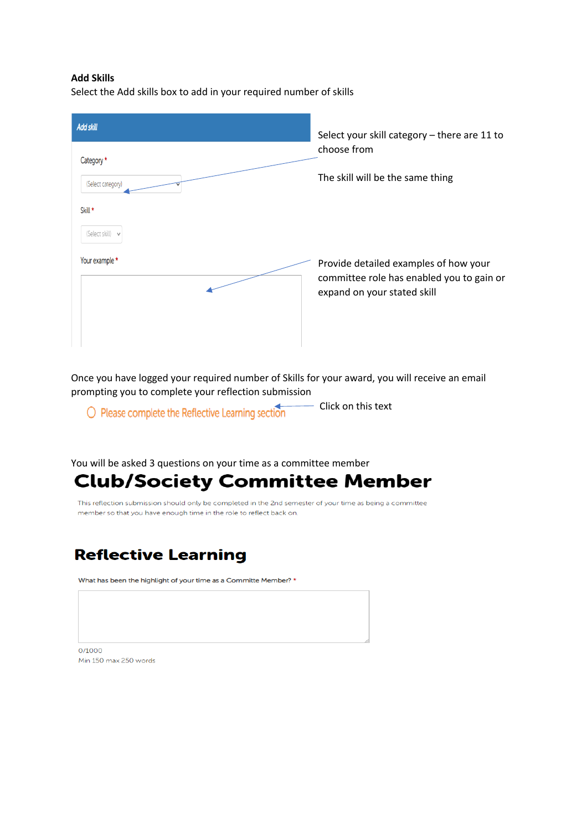#### **Add Skills**

Select the Add skills box to add in your required number of skills

| <b>Add skill</b>                | Select your skill category - there are 11 to<br>choose from<br>The skill will be the same thing                   |  |
|---------------------------------|-------------------------------------------------------------------------------------------------------------------|--|
| Category *<br>(Select category) |                                                                                                                   |  |
| Skill *<br>(Select skill) v     |                                                                                                                   |  |
| Your example *                  | Provide detailed examples of how your<br>committee role has enabled you to gain or<br>expand on your stated skill |  |

Once you have logged your required number of Skills for your award, you will receive an email prompting you to complete your reflection submission

O Please complete the Reflective Learning section

- Click on this text

You will be asked 3 questions on your time as a committee member

## **Club/Society Committee Member**

This reflection submission should only be completed in the 2nd semester of your time as being a committee member so that you have enough time in the role to reflect back on.

### **Reflective Learning**

What has been the highlight of your time as a Committe Member? \*

 $0/1000$ Min 150 max 250 words